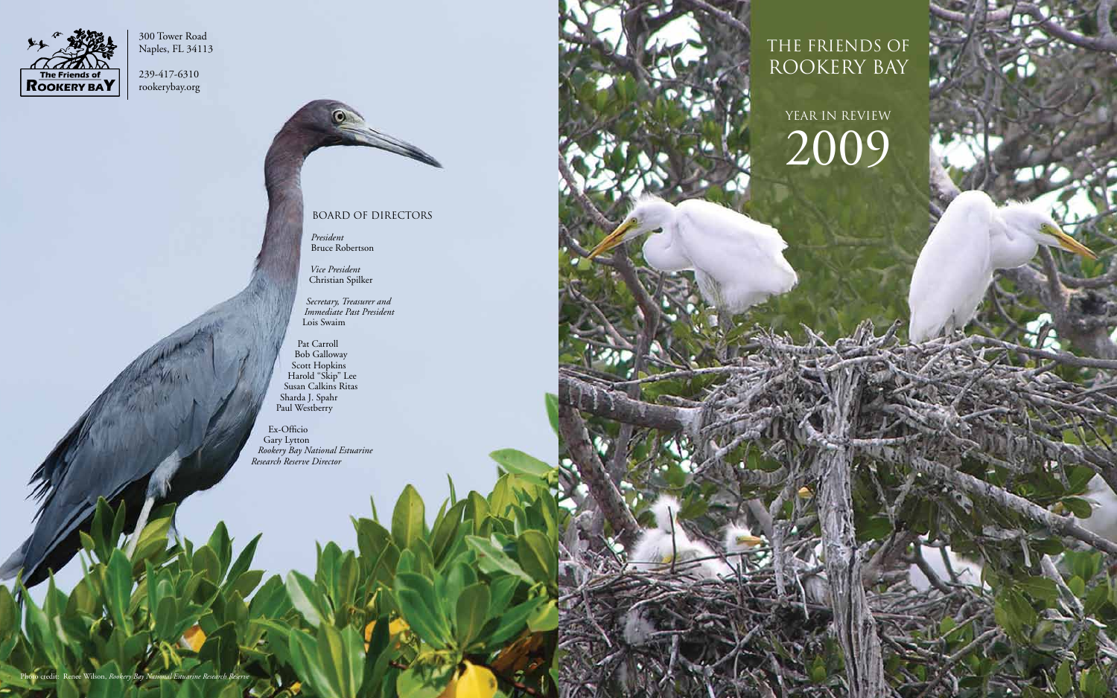The friends of rookery bay

YEAR IN REVIEW 2009



300 Tower Road Naples, FL 34113

239-417-6310 rookerybay.org

## Board of Directors

*President* Bruce Robertson

*Vice President* Christian Spilker

*Secretary, Treasurer and Immediate Past President* Lois Swaim

Pat Carroll Bob Galloway Scott Hopkins Harold "Skip" Lee Susan Calkins Ritas Sharda J. Spahr Paul Westberry

Ex-Officio Gary Lytton *Rookery Bay National Estuarine Research Reserve Director*

Photo credit: Renee Wilson, *Rookery Bay National Estuarine Research Reserve*